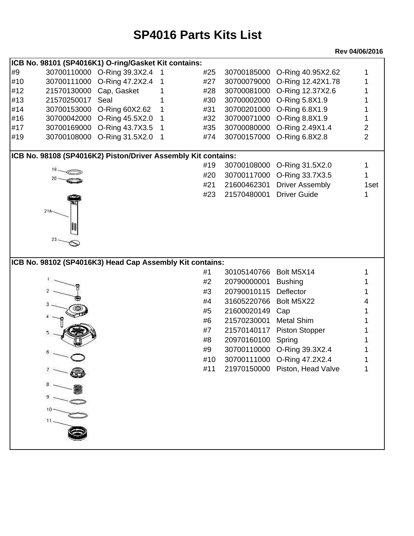## **SP4016 Parts Kits List**

## **Rev 04/06/2016**

|     | ICB No. 98101 (SP4016K1) O-ring/Gasket Kit contains:          |                             |    |     |             |                                |                |
|-----|---------------------------------------------------------------|-----------------------------|----|-----|-------------|--------------------------------|----------------|
| #9  |                                                               | 30700110000 O-Ring 39.3X2.4 |    | #25 | 30700185000 | O-Ring 40.95X2.62              |                |
| #10 | 30700111000                                                   | O-Ring 47.2X2.4             |    | #27 | 30700079000 | O-Ring 12.42X1.78              |                |
| #12 | 21570130000                                                   | Cap, Gasket                 |    | #28 | 30700081000 | O-Ring 12.37X2.6               |                |
| #13 | 21570250017                                                   | Seal                        |    | #30 |             | 30700002000 O-Ring 5.8X1.9     |                |
| #14 | 30700153000                                                   | O-Ring 60X2.62              | 1  | #31 | 30700201000 | O-Ring 6.8X1.9                 |                |
| #16 | 30700042000                                                   | O-Ring 45.5X2.0             |    | #32 | 30700071000 | O-Ring 8.8X1.9                 |                |
| #17 | 30700169000                                                   | O-Ring 43.7X3.5             | -1 | #35 | 30700080000 | O-Ring 2.49X1.4                | 2              |
| #19 | 30700108000                                                   | O-Ring 31.5X2.0             | -1 | #74 | 30700157000 | O-Ring 6.8X2.8                 | $\overline{2}$ |
|     | ICB No. 98108 (SP4016K2) Piston/Driver Assembly Kit contains: |                             |    |     |             |                                |                |
|     |                                                               |                             |    | #19 | 30700108000 | O-Ring 31.5X2.0                |                |
|     |                                                               |                             |    | #20 | 30700117000 | O-Ring 33.7X3.5                |                |
|     |                                                               |                             |    | #21 | 21600462301 | <b>Driver Assembly</b>         | 1set           |
|     |                                                               |                             |    | #23 | 21570480001 | <b>Driver Guide</b>            | 1              |
|     |                                                               |                             |    |     |             |                                |                |
|     | $21A -$                                                       |                             |    |     |             |                                |                |
|     |                                                               |                             |    |     |             |                                |                |
|     | 23 -                                                          |                             |    |     |             |                                |                |
|     |                                                               |                             |    |     |             |                                |                |
|     |                                                               |                             |    |     |             |                                |                |
|     | ICB No. 98102 (SP4016K3) Head Cap Assembly Kit contains:      |                             |    |     |             |                                |                |
|     |                                                               |                             |    | #1  | 30105140766 | Bolt M5X14                     |                |
|     |                                                               |                             |    | #2  | 20790000001 | <b>Bushing</b>                 |                |
|     |                                                               |                             |    | #3  | 20790010115 | Deflector                      |                |
|     |                                                               |                             |    |     |             |                                |                |
|     |                                                               |                             |    | #4  | 31605220766 | Bolt M5X22                     |                |
|     |                                                               |                             |    | #5  | 21600020149 | Cap                            |                |
|     |                                                               |                             |    | #6  | 21570230001 | <b>Metal Shim</b>              |                |
|     |                                                               |                             |    | #7  | 21570140117 | <b>Piston Stopper</b>          |                |
|     |                                                               |                             |    | #8  | 20970160100 | Spring                         |                |
|     |                                                               |                             |    | #9  | 30700110000 | O-Ring 39.3X2.4                |                |
|     |                                                               |                             |    | #10 | 30700111000 | O-Ring 47.2X2.4                |                |
|     |                                                               |                             |    | #11 |             | 21970150000 Piston, Head Valve | 1              |
|     |                                                               |                             |    |     |             |                                |                |
|     |                                                               |                             |    |     |             |                                |                |
|     |                                                               |                             |    |     |             |                                |                |
|     |                                                               |                             |    |     |             |                                |                |
|     |                                                               |                             |    |     |             |                                |                |
|     |                                                               |                             |    |     |             |                                |                |
|     |                                                               |                             |    |     |             |                                |                |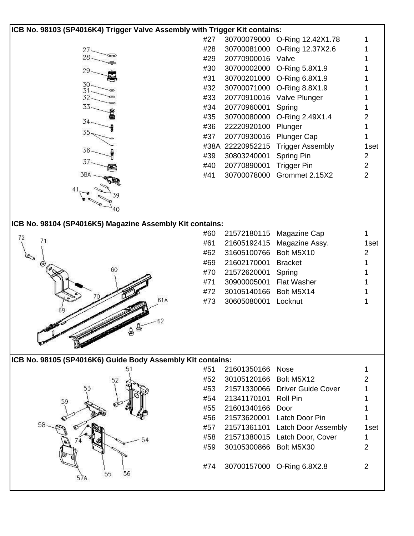| ICB No. 98103 (SP4016K4) Trigger Valve Assembly with Trigger Kit contains: |     |                        |                                 |                |  |  |  |  |  |  |
|----------------------------------------------------------------------------|-----|------------------------|---------------------------------|----------------|--|--|--|--|--|--|
|                                                                            | #27 | 30700079000            | O-Ring 12.42X1.78               | 1              |  |  |  |  |  |  |
| $27-$                                                                      | #28 | 30700081000            | O-Ring 12.37X2.6                |                |  |  |  |  |  |  |
| 28.                                                                        | #29 | 20770900016            | Valve                           |                |  |  |  |  |  |  |
| 29.                                                                        | #30 | 30700002000            | O-Ring 5.8X1.9                  |                |  |  |  |  |  |  |
|                                                                            | #31 | 30700201000            | O-Ring 6.8X1.9                  |                |  |  |  |  |  |  |
| 30-                                                                        | #32 | 30700071000            | O-Ring 8.8X1.9                  |                |  |  |  |  |  |  |
| 32.                                                                        | #33 | 20770910016            | Valve Plunger                   |                |  |  |  |  |  |  |
| 33                                                                         | #34 | 20770960001            | Spring                          |                |  |  |  |  |  |  |
|                                                                            | #35 | 30700080000            | O-Ring 2.49X1.4                 | 2              |  |  |  |  |  |  |
| 34                                                                         | #36 | 22220920100            | Plunger                         |                |  |  |  |  |  |  |
| 35                                                                         | #37 | 20770930016            | <b>Plunger Cap</b>              |                |  |  |  |  |  |  |
|                                                                            |     | #38A 22220952215       | <b>Trigger Assembly</b>         | 1set           |  |  |  |  |  |  |
| 36.                                                                        | #39 | 30803240001            | Spring Pin                      | 2              |  |  |  |  |  |  |
|                                                                            | #40 | 20770890001            | <b>Trigger Pin</b>              | $\overline{2}$ |  |  |  |  |  |  |
| 38A                                                                        | #41 | 30700078000            | Grommet 2.15X2                  | $\overline{2}$ |  |  |  |  |  |  |
|                                                                            |     |                        |                                 |                |  |  |  |  |  |  |
|                                                                            |     |                        |                                 |                |  |  |  |  |  |  |
|                                                                            |     |                        |                                 |                |  |  |  |  |  |  |
| 40                                                                         |     |                        |                                 |                |  |  |  |  |  |  |
| ICB No. 98104 (SP4016K5) Magazine Assembly Kit contains:                   |     |                        |                                 |                |  |  |  |  |  |  |
|                                                                            | #60 | 21572180115            | Magazine Cap                    | 1              |  |  |  |  |  |  |
| 72<br>71                                                                   | #61 | 21605192415            | Magazine Assy.                  | 1set           |  |  |  |  |  |  |
|                                                                            | #62 | 31605100766            | Bolt M5X10                      | 2              |  |  |  |  |  |  |
| $\mathbb{Q}_{\mathfrak{d}}$                                                | #69 | 21602170001            | <b>Bracket</b>                  | 1              |  |  |  |  |  |  |
| $\circ$ lo<br>60                                                           | #70 | 21572620001            | Spring                          |                |  |  |  |  |  |  |
|                                                                            | #71 | 30900005001            | <b>Flat Washer</b>              |                |  |  |  |  |  |  |
|                                                                            | #72 | 30105140166            | Bolt M5X14                      |                |  |  |  |  |  |  |
| 61A                                                                        | #73 | 30605080001            | Locknut                         | 1              |  |  |  |  |  |  |
|                                                                            |     |                        |                                 |                |  |  |  |  |  |  |
| 62                                                                         |     |                        |                                 |                |  |  |  |  |  |  |
|                                                                            |     |                        |                                 |                |  |  |  |  |  |  |
|                                                                            |     |                        |                                 |                |  |  |  |  |  |  |
|                                                                            |     |                        |                                 |                |  |  |  |  |  |  |
| ICB No. 98105 (SP4016K6) Guide Body Assembly Kit contains:                 |     |                        |                                 |                |  |  |  |  |  |  |
|                                                                            | #51 | 21601350166            | <b>Nose</b>                     | 1              |  |  |  |  |  |  |
| 52                                                                         | #52 | 30105120166 Bolt M5X12 |                                 | 2              |  |  |  |  |  |  |
| 53                                                                         | #53 |                        | 21571330066 Driver Guide Cover  | 1              |  |  |  |  |  |  |
|                                                                            | #54 | 21341170101 Roll Pin   |                                 |                |  |  |  |  |  |  |
| 59                                                                         | #55 | 21601340166            | Door                            |                |  |  |  |  |  |  |
|                                                                            | #56 | 21573620001            | Latch Door Pin                  | 1              |  |  |  |  |  |  |
|                                                                            | #57 |                        | 21571361101 Latch Door Assembly | 1set           |  |  |  |  |  |  |
|                                                                            | #58 | 21571380015            | Latch Door, Cover               | 1              |  |  |  |  |  |  |
|                                                                            | #59 | 30105300866 Bolt M5X30 |                                 | 2              |  |  |  |  |  |  |
|                                                                            |     |                        |                                 |                |  |  |  |  |  |  |
|                                                                            | #74 |                        | 30700157000 O-Ring 6.8X2.8      | 2              |  |  |  |  |  |  |
| 56<br>55                                                                   |     |                        |                                 |                |  |  |  |  |  |  |
|                                                                            |     |                        |                                 |                |  |  |  |  |  |  |